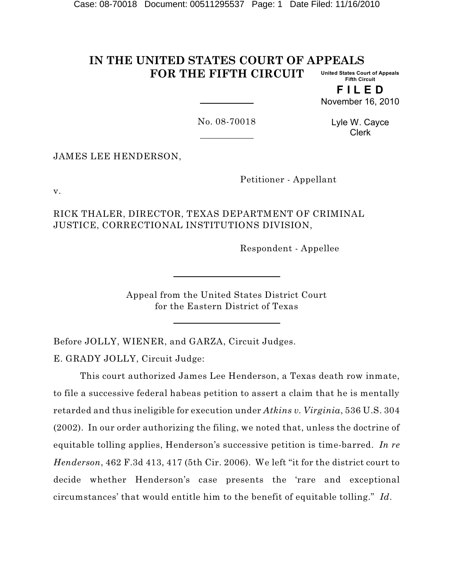#### **IN THE UNITED STATES COURT OF APPEALS FOR THE FIFTH CIRCUIT United States Court of Appeals Fifth Circuit**

**F I L E D** November 16, 2010

No. 08-70018

Lyle W. Cayce Clerk

JAMES LEE HENDERSON,

Petitioner - Appellant

v.

RICK THALER, DIRECTOR, TEXAS DEPARTMENT OF CRIMINAL JUSTICE, CORRECTIONAL INSTITUTIONS DIVISION,

Respondent - Appellee

Appeal from the United States District Court for the Eastern District of Texas

Before JOLLY, WIENER, and GARZA, Circuit Judges.

E. GRADY JOLLY, Circuit Judge:

This court authorized James Lee Henderson, a Texas death row inmate, to file a successive federal habeas petition to assert a claim that he is mentally retarded and thus ineligible for execution under *Atkins v. Virginia*, 536 U.S. 304 (2002). In our order authorizing the filing, we noted that, unless the doctrine of equitable tolling applies, Henderson's successive petition is time-barred. *In re Henderson*, 462 F.3d 413, 417 (5th Cir. 2006). We left "it for the district court to decide whether Henderson's case presents the 'rare and exceptional circumstances' that would entitle him to the benefit of equitable tolling." *Id*.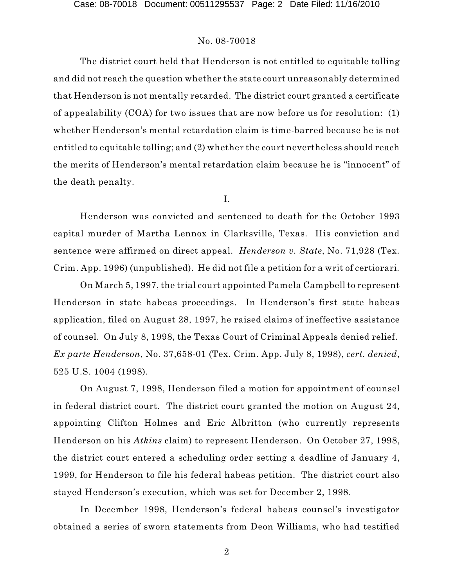The district court held that Henderson is not entitled to equitable tolling and did not reach the question whether the state court unreasonably determined that Henderson is not mentally retarded. The district court granted a certificate of appealability (COA) for two issues that are now before us for resolution: (1) whether Henderson's mental retardation claim is time-barred because he is not entitled to equitable tolling; and (2) whether the court nevertheless should reach the merits of Henderson's mental retardation claim because he is "innocent" of the death penalty.

I.

Henderson was convicted and sentenced to death for the October 1993 capital murder of Martha Lennox in Clarksville, Texas. His conviction and sentence were affirmed on direct appeal. *Henderson v. State*, No. 71,928 (Tex. Crim. App. 1996) (unpublished). He did not file a petition for a writ of certiorari.

On March 5, 1997, the trial court appointed Pamela Campbell to represent Henderson in state habeas proceedings. In Henderson's first state habeas application, filed on August 28, 1997, he raised claims of ineffective assistance of counsel. On July 8, 1998, the Texas Court of Criminal Appeals denied relief. *Ex parte Henderson*, No. 37,658-01 (Tex. Crim. App. July 8, 1998), *cert. denied*, 525 U.S. 1004 (1998).

On August 7, 1998, Henderson filed a motion for appointment of counsel in federal district court. The district court granted the motion on August 24, appointing Clifton Holmes and Eric Albritton (who currently represents Henderson on his *Atkins* claim) to represent Henderson. On October 27, 1998, the district court entered a scheduling order setting a deadline of January 4, 1999, for Henderson to file his federal habeas petition. The district court also stayed Henderson's execution, which was set for December 2, 1998.

In December 1998, Henderson's federal habeas counsel's investigator obtained a series of sworn statements from Deon Williams, who had testified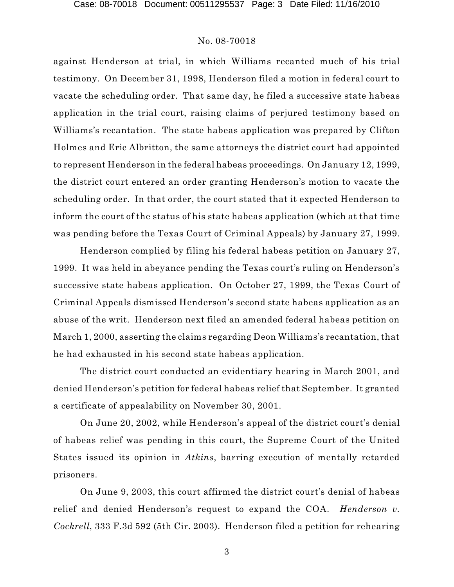against Henderson at trial, in which Williams recanted much of his trial testimony. On December 31, 1998, Henderson filed a motion in federal court to vacate the scheduling order. That same day, he filed a successive state habeas application in the trial court, raising claims of perjured testimony based on Williams's recantation. The state habeas application was prepared by Clifton Holmes and Eric Albritton, the same attorneys the district court had appointed to represent Henderson in the federal habeas proceedings. On January 12, 1999, the district court entered an order granting Henderson's motion to vacate the scheduling order. In that order, the court stated that it expected Henderson to inform the court of the status of his state habeas application (which at that time was pending before the Texas Court of Criminal Appeals) by January 27, 1999.

Henderson complied by filing his federal habeas petition on January 27, 1999. It was held in abeyance pending the Texas court's ruling on Henderson's successive state habeas application. On October 27, 1999, the Texas Court of Criminal Appeals dismissed Henderson's second state habeas application as an abuse of the writ. Henderson next filed an amended federal habeas petition on March 1, 2000, asserting the claims regarding Deon Williams's recantation, that he had exhausted in his second state habeas application.

The district court conducted an evidentiary hearing in March 2001, and denied Henderson's petition for federal habeas relief that September. It granted a certificate of appealability on November 30, 2001.

On June 20, 2002, while Henderson's appeal of the district court's denial of habeas relief was pending in this court, the Supreme Court of the United States issued its opinion in *Atkins*, barring execution of mentally retarded prisoners.

On June 9, 2003, this court affirmed the district court's denial of habeas relief and denied Henderson's request to expand the COA. *Henderson v. Cockrell*, 333 F.3d 592 (5th Cir. 2003). Henderson filed a petition for rehearing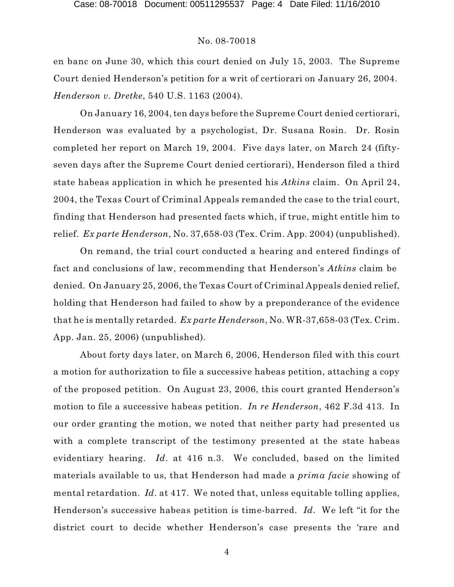en banc on June 30, which this court denied on July 15, 2003. The Supreme Court denied Henderson's petition for a writ of certiorari on January 26, 2004. *Henderson v. Dretke*, 540 U.S. 1163 (2004).

On January 16, 2004, ten days before the Supreme Court denied certiorari, Henderson was evaluated by a psychologist, Dr. Susana Rosin. Dr. Rosin completed her report on March 19, 2004. Five days later, on March 24 (fiftyseven days after the Supreme Court denied certiorari), Henderson filed a third state habeas application in which he presented his *Atkins* claim. On April 24, 2004, the Texas Court of Criminal Appeals remanded the case to the trial court, finding that Henderson had presented facts which, if true, might entitle him to relief. *Ex parte Henderson*, No. 37,658-03 (Tex. Crim. App. 2004) (unpublished).

On remand, the trial court conducted a hearing and entered findings of fact and conclusions of law, recommending that Henderson's *Atkins* claim be denied. On January 25, 2006, the Texas Court of Criminal Appeals denied relief, holding that Henderson had failed to show by a preponderance of the evidence that he is mentally retarded. *Ex parte Henderson*, No. WR-37,658-03 (Tex. Crim. App. Jan. 25, 2006) (unpublished).

About forty days later, on March 6, 2006, Henderson filed with this court a motion for authorization to file a successive habeas petition, attaching a copy of the proposed petition. On August 23, 2006, this court granted Henderson's motion to file a successive habeas petition. *In re Henderson*, 462 F.3d 413. In our order granting the motion, we noted that neither party had presented us with a complete transcript of the testimony presented at the state habeas evidentiary hearing. *Id*. at 416 n.3. We concluded, based on the limited materials available to us, that Henderson had made a *prima facie* showing of mental retardation. *Id*. at 417. We noted that, unless equitable tolling applies, Henderson's successive habeas petition is time-barred. *Id*. We left "it for the district court to decide whether Henderson's case presents the 'rare and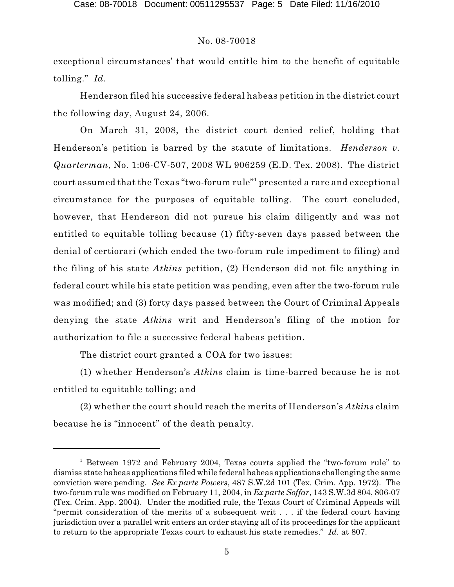exceptional circumstances' that would entitle him to the benefit of equitable tolling." *Id*.

Henderson filed his successive federal habeas petition in the district court the following day, August 24, 2006.

On March 31, 2008, the district court denied relief, holding that Henderson's petition is barred by the statute of limitations. *Henderson v. Quarterman*, No. 1:06-CV-507, 2008 WL 906259 (E.D. Tex. 2008). The district court assumed that the Texas "two-forum rule" $^{\rm h}$  presented a rare and exceptional circumstance for the purposes of equitable tolling. The court concluded, however, that Henderson did not pursue his claim diligently and was not entitled to equitable tolling because (1) fifty-seven days passed between the denial of certiorari (which ended the two-forum rule impediment to filing) and the filing of his state *Atkins* petition, (2) Henderson did not file anything in federal court while his state petition was pending, even after the two-forum rule was modified; and (3) forty days passed between the Court of Criminal Appeals denying the state *Atkins* writ and Henderson's filing of the motion for authorization to file a successive federal habeas petition.

The district court granted a COA for two issues:

(1) whether Henderson's *Atkins* claim is time-barred because he is not entitled to equitable tolling; and

(2) whether the court should reach the merits of Henderson's *Atkins* claim because he is "innocent" of the death penalty.

 $^1$  Between 1972 and February 2004, Texas courts applied the "two-forum rule" to dismiss state habeas applications filed while federal habeas applications challenging the same conviction were pending. *See Ex parte Powers*, 487 S.W.2d 101 (Tex. Crim. App. 1972). The two-forum rule was modified on February 11, 2004, in *Ex parte Soffar*, 143 S.W.3d 804, 806-07 (Tex. Crim. App. 2004). Under the modified rule, the Texas Court of Criminal Appeals will "permit consideration of the merits of a subsequent writ . . . if the federal court having jurisdiction over a parallel writ enters an order staying all of its proceedings for the applicant to return to the appropriate Texas court to exhaust his state remedies." *Id*. at 807.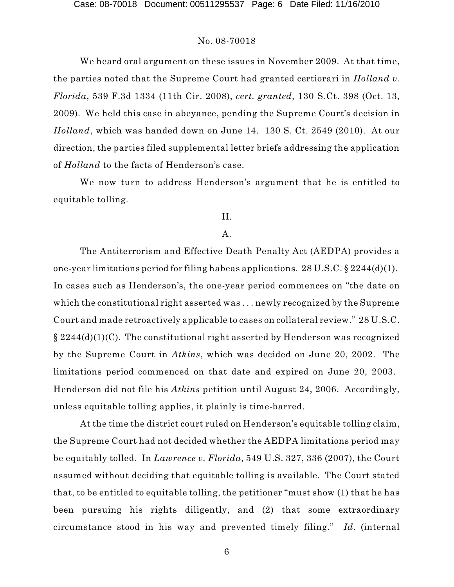We heard oral argument on these issues in November 2009. At that time, the parties noted that the Supreme Court had granted certiorari in *Holland v. Florida*, 539 F.3d 1334 (11th Cir. 2008), *cert. granted*, 130 S.Ct. 398 (Oct. 13, 2009). We held this case in abeyance, pending the Supreme Court's decision in *Holland*, which was handed down on June 14. 130 S. Ct. 2549 (2010). At our direction, the parties filed supplemental letter briefs addressing the application of *Holland* to the facts of Henderson's case.

We now turn to address Henderson's argument that he is entitled to equitable tolling.

## II.

### A.

The Antiterrorism and Effective Death Penalty Act (AEDPA) provides a one-year limitations period for filing habeas applications. 28 U.S.C. § 2244(d)(1). In cases such as Henderson's, the one-year period commences on "the date on which the constitutional right asserted was . . . newly recognized by the Supreme Court and made retroactively applicable to cases on collateral review." 28 U.S.C. § 2244(d)(1)(C). The constitutional right asserted by Henderson was recognized by the Supreme Court in *Atkins*, which was decided on June 20, 2002. The limitations period commenced on that date and expired on June 20, 2003. Henderson did not file his *Atkins* petition until August 24, 2006. Accordingly, unless equitable tolling applies, it plainly is time-barred.

At the time the district court ruled on Henderson's equitable tolling claim, the Supreme Court had not decided whether the AEDPA limitations period may be equitably tolled. In *Lawrence v. Florida*, 549 U.S. 327, 336 (2007), the Court assumed without deciding that equitable tolling is available. The Court stated that, to be entitled to equitable tolling, the petitioner "must show (1) that he has been pursuing his rights diligently, and (2) that some extraordinary circumstance stood in his way and prevented timely filing." *Id*. (internal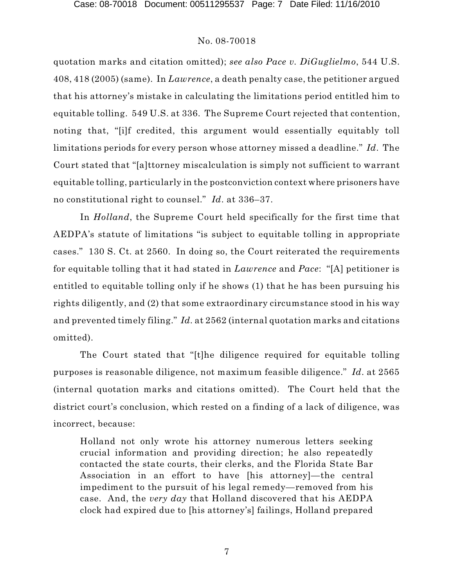quotation marks and citation omitted); *see also Pace v. DiGuglielmo*, 544 U.S. 408, 418 (2005) (same). In *Lawrence*, a death penalty case, the petitioner argued that his attorney's mistake in calculating the limitations period entitled him to equitable tolling. 549 U.S. at 336. The Supreme Court rejected that contention, noting that, "[i]f credited, this argument would essentially equitably toll limitations periods for every person whose attorney missed a deadline." *Id*. The Court stated that "[a]ttorney miscalculation is simply not sufficient to warrant equitable tolling, particularly in the postconviction context where prisoners have no constitutional right to counsel." *Id*. at 336–37.

In *Holland*, the Supreme Court held specifically for the first time that AEDPA's statute of limitations "is subject to equitable tolling in appropriate cases." 130 S. Ct. at 2560. In doing so, the Court reiterated the requirements for equitable tolling that it had stated in *Lawrence* and *Pace*: "[A] petitioner is entitled to equitable tolling only if he shows (1) that he has been pursuing his rights diligently, and (2) that some extraordinary circumstance stood in his way and prevented timely filing." *Id.* at 2562 (internal quotation marks and citations omitted).

The Court stated that "[t]he diligence required for equitable tolling purposes is reasonable diligence, not maximum feasible diligence." *Id*. at 2565 (internal quotation marks and citations omitted). The Court held that the district court's conclusion, which rested on a finding of a lack of diligence, was incorrect, because:

Holland not only wrote his attorney numerous letters seeking crucial information and providing direction; he also repeatedly contacted the state courts, their clerks, and the Florida State Bar Association in an effort to have [his attorney]—the central impediment to the pursuit of his legal remedy—removed from his case. And, the *very day* that Holland discovered that his AEDPA clock had expired due to [his attorney's] failings, Holland prepared

7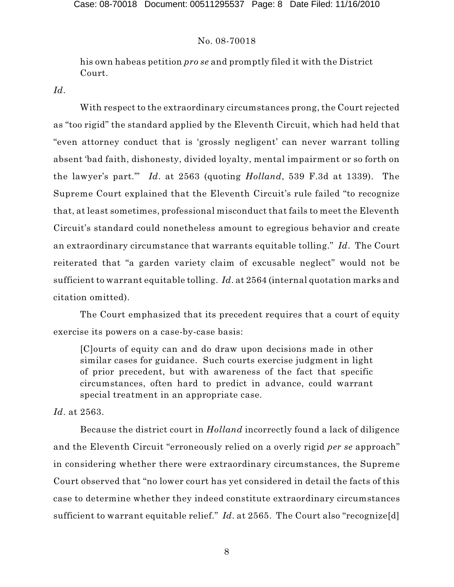his own habeas petition *pro se* and promptly filed it with the District Court.

*Id*.

With respect to the extraordinary circumstances prong, the Court rejected as "too rigid" the standard applied by the Eleventh Circuit, which had held that "even attorney conduct that is 'grossly negligent' can never warrant tolling absent 'bad faith, dishonesty, divided loyalty, mental impairment or so forth on the lawyer's part.'" *Id*. at 2563 (quoting *Holland*, 539 F.3d at 1339). The Supreme Court explained that the Eleventh Circuit's rule failed "to recognize that, at least sometimes, professional misconduct that fails to meet the Eleventh Circuit's standard could nonetheless amount to egregious behavior and create an extraordinary circumstance that warrants equitable tolling." *Id*. The Court reiterated that "a garden variety claim of excusable neglect" would not be sufficient to warrant equitable tolling. *Id*. at 2564 (internal quotation marks and citation omitted).

The Court emphasized that its precedent requires that a court of equity exercise its powers on a case-by-case basis:

[C]ourts of equity can and do draw upon decisions made in other similar cases for guidance. Such courts exercise judgment in light of prior precedent, but with awareness of the fact that specific circumstances, often hard to predict in advance, could warrant special treatment in an appropriate case.

*Id*. at 2563.

Because the district court in *Holland* incorrectly found a lack of diligence and the Eleventh Circuit "erroneously relied on a overly rigid *per se* approach" in considering whether there were extraordinary circumstances, the Supreme Court observed that "no lower court has yet considered in detail the facts of this case to determine whether they indeed constitute extraordinary circumstances sufficient to warrant equitable relief." *Id.* at 2565. The Court also "recognize[d]

8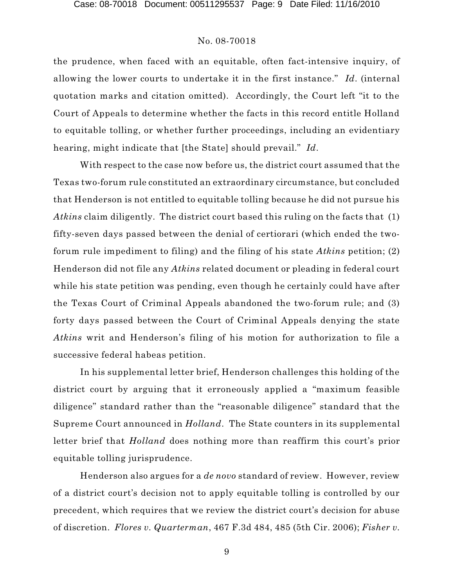the prudence, when faced with an equitable, often fact-intensive inquiry, of allowing the lower courts to undertake it in the first instance." *Id*. (internal quotation marks and citation omitted). Accordingly, the Court left "it to the Court of Appeals to determine whether the facts in this record entitle Holland to equitable tolling, or whether further proceedings, including an evidentiary hearing, might indicate that [the State] should prevail." *Id*.

With respect to the case now before us, the district court assumed that the Texas two-forum rule constituted an extraordinary circumstance, but concluded that Henderson is not entitled to equitable tolling because he did not pursue his *Atkins* claim diligently. The district court based this ruling on the facts that (1) fifty-seven days passed between the denial of certiorari (which ended the twoforum rule impediment to filing) and the filing of his state *Atkins* petition; (2) Henderson did not file any *Atkins* related document or pleading in federal court while his state petition was pending, even though he certainly could have after the Texas Court of Criminal Appeals abandoned the two-forum rule; and (3) forty days passed between the Court of Criminal Appeals denying the state *Atkins* writ and Henderson's filing of his motion for authorization to file a successive federal habeas petition.

In his supplemental letter brief, Henderson challenges this holding of the district court by arguing that it erroneously applied a "maximum feasible diligence" standard rather than the "reasonable diligence" standard that the Supreme Court announced in *Holland*. The State counters in its supplemental letter brief that *Holland* does nothing more than reaffirm this court's prior equitable tolling jurisprudence.

Henderson also argues for a *de novo* standard of review. However, review of a district court's decision not to apply equitable tolling is controlled by our precedent, which requires that we review the district court's decision for abuse of discretion. *Flores v. Quarterman*, 467 F.3d 484, 485 (5th Cir. 2006); *Fisher v.*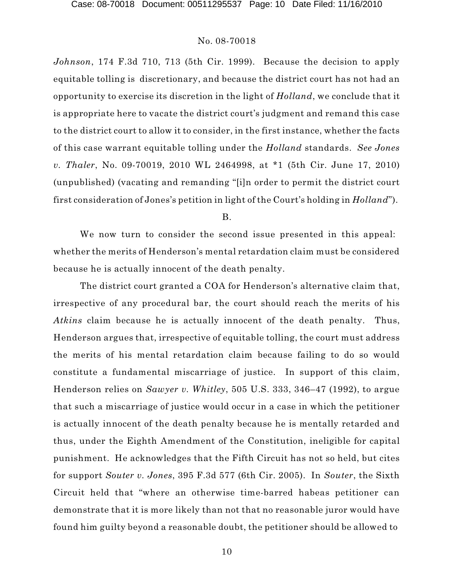*Johnson*, 174 F.3d 710, 713 (5th Cir. 1999). Because the decision to apply equitable tolling is discretionary, and because the district court has not had an opportunity to exercise its discretion in the light of *Holland*, we conclude that it is appropriate here to vacate the district court's judgment and remand this case to the district court to allow it to consider, in the first instance, whether the facts of this case warrant equitable tolling under the *Holland* standards. *See Jones v. Thaler*, No. 09-70019, 2010 WL 2464998, at \*1 (5th Cir. June 17, 2010) (unpublished) (vacating and remanding "[i]n order to permit the district court first consideration of Jones's petition in light of the Court's holding in *Holland*").

B.

We now turn to consider the second issue presented in this appeal: whether the merits of Henderson's mental retardation claim must be considered because he is actually innocent of the death penalty.

The district court granted a COA for Henderson's alternative claim that, irrespective of any procedural bar, the court should reach the merits of his *Atkins* claim because he is actually innocent of the death penalty. Thus, Henderson argues that, irrespective of equitable tolling, the court must address the merits of his mental retardation claim because failing to do so would constitute a fundamental miscarriage of justice. In support of this claim, Henderson relies on *Sawyer v. Whitley*, 505 U.S. 333, 346–47 (1992), to argue that such a miscarriage of justice would occur in a case in which the petitioner is actually innocent of the death penalty because he is mentally retarded and thus, under the Eighth Amendment of the Constitution, ineligible for capital punishment. He acknowledges that the Fifth Circuit has not so held, but cites for support *Souter v. Jones*, 395 F.3d 577 (6th Cir. 2005). In *Souter*, the Sixth Circuit held that "where an otherwise time-barred habeas petitioner can demonstrate that it is more likely than not that no reasonable juror would have found him guilty beyond a reasonable doubt, the petitioner should be allowed to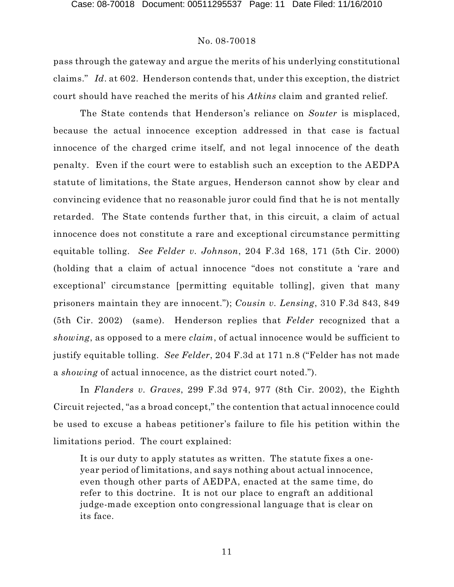pass through the gateway and argue the merits of his underlying constitutional claims." *Id*. at 602. Henderson contends that, under this exception, the district court should have reached the merits of his *Atkins* claim and granted relief.

The State contends that Henderson's reliance on *Souter* is misplaced, because the actual innocence exception addressed in that case is factual innocence of the charged crime itself, and not legal innocence of the death penalty. Even if the court were to establish such an exception to the AEDPA statute of limitations, the State argues, Henderson cannot show by clear and convincing evidence that no reasonable juror could find that he is not mentally retarded. The State contends further that, in this circuit, a claim of actual innocence does not constitute a rare and exceptional circumstance permitting equitable tolling. *See Felder v. Johnson*, 204 F.3d 168, 171 (5th Cir. 2000) (holding that a claim of actual innocence "does not constitute a 'rare and exceptional' circumstance [permitting equitable tolling], given that many prisoners maintain they are innocent."); *Cousin v. Lensing*, 310 F.3d 843, 849 (5th Cir. 2002) (same). Henderson replies that *Felder* recognized that a *showing*, as opposed to a mere *claim*, of actual innocence would be sufficient to justify equitable tolling. *See Felder*, 204 F.3d at 171 n.8 ("Felder has not made a *showing* of actual innocence, as the district court noted.").

In *Flanders v. Graves*, 299 F.3d 974, 977 (8th Cir. 2002), the Eighth Circuit rejected, "as a broad concept," the contention that actual innocence could be used to excuse a habeas petitioner's failure to file his petition within the limitations period. The court explained:

It is our duty to apply statutes as written. The statute fixes a oneyear period of limitations, and says nothing about actual innocence, even though other parts of AEDPA, enacted at the same time, do refer to this doctrine. It is not our place to engraft an additional judge-made exception onto congressional language that is clear on its face.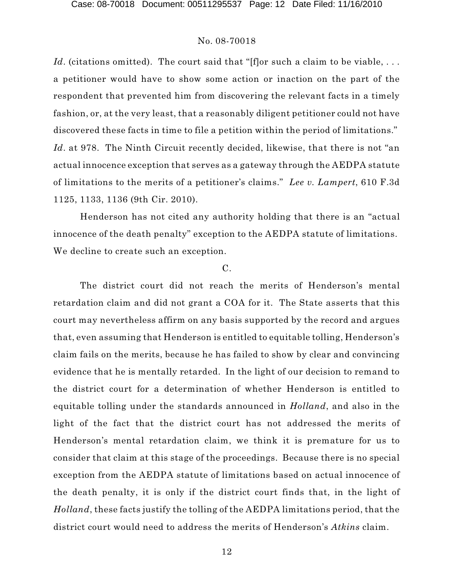Id. (citations omitted). The court said that "[f]or such a claim to be viable, ... a petitioner would have to show some action or inaction on the part of the respondent that prevented him from discovering the relevant facts in a timely fashion, or, at the very least, that a reasonably diligent petitioner could not have discovered these facts in time to file a petition within the period of limitations." *Id.* at 978. The Ninth Circuit recently decided, likewise, that there is not "an actual innocence exception that serves as a gateway through the AEDPA statute of limitations to the merits of a petitioner's claims." *Lee v. Lampert*, 610 F.3d 1125, 1133, 1136 (9th Cir. 2010).

Henderson has not cited any authority holding that there is an "actual innocence of the death penalty" exception to the AEDPA statute of limitations. We decline to create such an exception.

### C.

The district court did not reach the merits of Henderson's mental retardation claim and did not grant a COA for it. The State asserts that this court may nevertheless affirm on any basis supported by the record and argues that, even assuming that Henderson is entitled to equitable tolling, Henderson's claim fails on the merits, because he has failed to show by clear and convincing evidence that he is mentally retarded. In the light of our decision to remand to the district court for a determination of whether Henderson is entitled to equitable tolling under the standards announced in *Holland*, and also in the light of the fact that the district court has not addressed the merits of Henderson's mental retardation claim, we think it is premature for us to consider that claim at this stage of the proceedings. Because there is no special exception from the AEDPA statute of limitations based on actual innocence of the death penalty, it is only if the district court finds that, in the light of *Holland*, these facts justify the tolling of the AEDPA limitations period, that the district court would need to address the merits of Henderson's *Atkins* claim.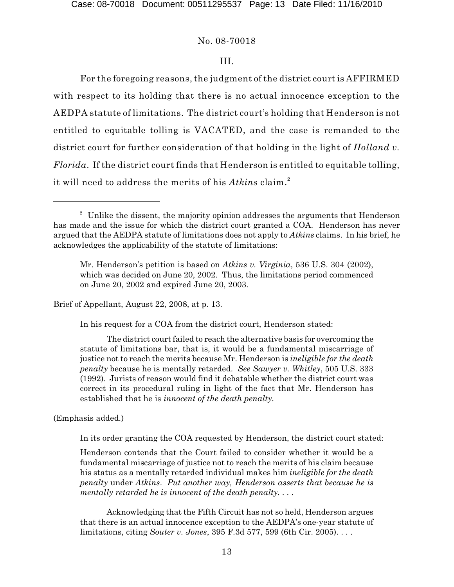### III.

For the foregoing reasons, the judgment of the district court is AFFIRMED with respect to its holding that there is no actual innocence exception to the AEDPA statute of limitations. The district court's holding that Henderson is not entitled to equitable tolling is VACATED, and the case is remanded to the district court for further consideration of that holding in the light of *Holland v. Florida*. If the district court finds that Henderson is entitled to equitable tolling, it will need to address the merits of his *Atkins* claim. 2

Brief of Appellant, August 22, 2008, at p. 13.

In his request for a COA from the district court, Henderson stated:

The district court failed to reach the alternative basis for overcoming the statute of limitations bar, that is, it would be a fundamental miscarriage of justice not to reach the merits because Mr. Henderson is *ineligible for the death penalty* because he is mentally retarded. *See Sawyer v. Whitley*, 505 U.S. 333 (1992). Jurists of reason would find it debatable whether the district court was correct in its procedural ruling in light of the fact that Mr. Henderson has established that he is *innocent of the death penalty.*

(Emphasis added.)

In its order granting the COA requested by Henderson, the district court stated:

Henderson contends that the Court failed to consider whether it would be a fundamental miscarriage of justice not to reach the merits of his claim because his status as a mentally retarded individual makes him *ineligible for the death penalty* under *Atkins*. *Put another way, Henderson asserts that because he is mentally retarded he is innocent of the death penalty. . . .*

Acknowledging that the Fifth Circuit has not so held, Henderson argues that there is an actual innocence exception to the AEDPA's one-year statute of limitations, citing *Souter v. Jones*, 395 F.3d 577, 599 (6th Cir. 2005). . . .

 $2$  Unlike the dissent, the majority opinion addresses the arguments that Henderson has made and the issue for which the district court granted a COA. Henderson has never argued that the AEDPA statute of limitations does not apply to *Atkins* claims. In his brief, he acknowledges the applicability of the statute of limitations:

Mr. Henderson's petition is based on *Atkins v. Virginia*, 536 U.S. 304 (2002), which was decided on June 20, 2002. Thus, the limitations period commenced on June 20, 2002 and expired June 20, 2003.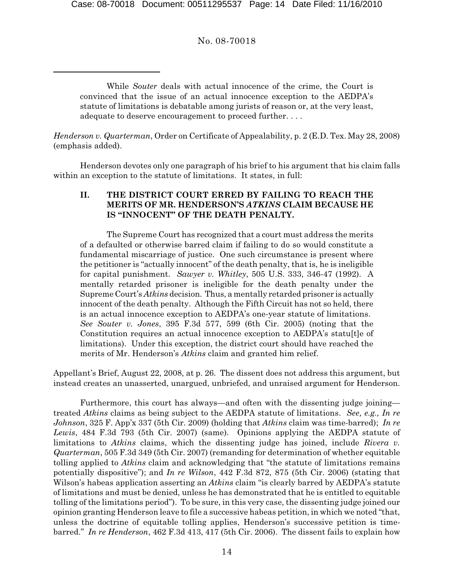While *Souter* deals with actual innocence of the crime, the Court is convinced that the issue of an actual innocence exception to the AEDPA's statute of limitations is debatable among jurists of reason or, at the very least, adequate to deserve encouragement to proceed further. . . .

*Henderson v. Quarterman*, Order on Certificate of Appealability, p. 2 (E.D. Tex. May 28, 2008) (emphasis added).

Henderson devotes only one paragraph of his brief to his argument that his claim falls within an exception to the statute of limitations. It states, in full:

### **II. THE DISTRICT COURT ERRED BY FAILING TO REACH THE MERITS OF MR. HENDERSON'S** *ATKINS* **CLAIM BECAUSE HE IS "INNOCENT" OF THE DEATH PENALTY.**

The Supreme Court has recognized that a court must address the merits of a defaulted or otherwise barred claim if failing to do so would constitute a fundamental miscarriage of justice. One such circumstance is present where the petitioner is "actually innocent" of the death penalty, that is, he is ineligible for capital punishment. *Sawyer v. Whitley*, 505 U.S. 333, 346-47 (1992). A mentally retarded prisoner is ineligible for the death penalty under the Supreme Court's *Atkins* decision. Thus, a mentally retarded prisoner is actually innocent of the death penalty. Although the Fifth Circuit has not so held, there is an actual innocence exception to AEDPA's one-year statute of limitations. *See Souter v. Jones*, 395 F.3d 577, 599 (6th Cir. 2005) (noting that the Constitution requires an actual innocence exception to AEDPA's statu<sup>[t]</sup>e of limitations). Under this exception, the district court should have reached the merits of Mr. Henderson's *Atkins* claim and granted him relief.

Appellant's Brief, August 22, 2008, at p. 26. The dissent does not address this argument, but instead creates an unasserted, unargued, unbriefed, and unraised argument for Henderson.

Furthermore, this court has always—and often with the dissenting judge joining treated *Atkins* claims as being subject to the AEDPA statute of limitations. *See, e.g., In re Johnson*, 325 F. App'x 337 (5th Cir. 2009) (holding that *Atkins* claim was time-barred); *In re Lewis*, 484 F.3d 793 (5th Cir. 2007) (same). Opinions applying the AEDPA statute of limitations to *Atkins* claims, which the dissenting judge has joined, include *Rivera v. Quarterman*, 505 F.3d 349 (5th Cir. 2007) (remanding for determination of whether equitable tolling applied to *Atkins* claim and acknowledging that "the statute of limitations remains potentially dispositive"); and *In re Wilson*, 442 F.3d 872, 875 (5th Cir. 2006) (stating that Wilson's habeas application asserting an *Atkins* claim "is clearly barred by AEDPA's statute of limitations and must be denied, unless he has demonstrated that he is entitled to equitable tolling of the limitations period"). To be sure, in this very case, the dissenting judge joined our opinion granting Henderson leave to file a successive habeas petition, in which we noted "that, unless the doctrine of equitable tolling applies, Henderson's successive petition is timebarred." *In re Henderson*, 462 F.3d 413, 417 (5th Cir. 2006). The dissent fails to explain how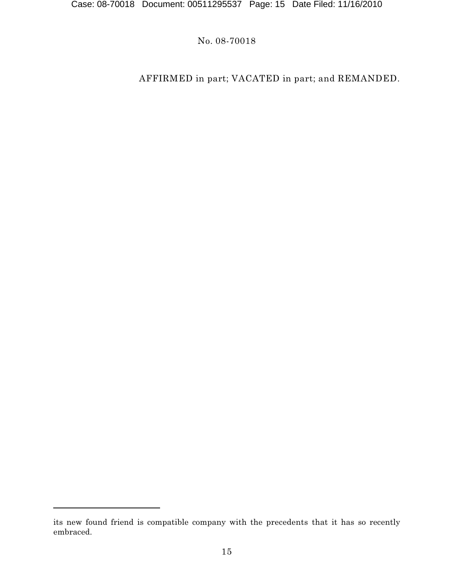# AFFIRMED in part; VACATED in part; and REMANDED.

its new found friend is compatible company with the precedents that it has so recently embraced.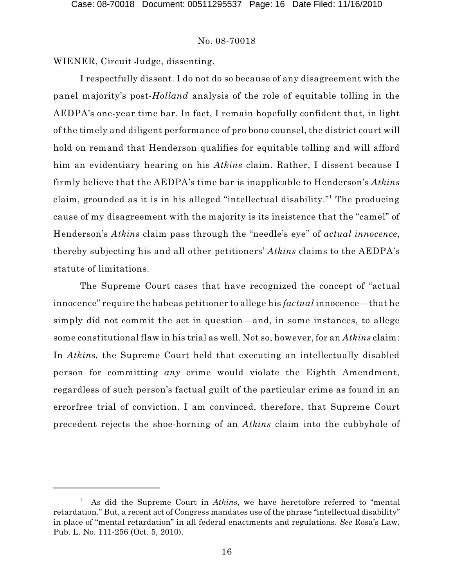WIENER, Circuit Judge, dissenting.

I respectfully dissent. I do not do so because of any disagreement with the panel majority's post-*Holland* analysis of the role of equitable tolling in the AEDPA's one-year time bar. In fact, I remain hopefully confident that, in light of the timely and diligent performance of pro bono counsel, the district court will hold on remand that Henderson qualifies for equitable tolling and will afford him an evidentiary hearing on his *Atkins* claim. Rather, I dissent because I firmly believe that the AEDPA's time bar is inapplicable to Henderson's *Atkins* claim, grounded as it is in his alleged "intellectual disability."<sup>1</sup> The producing cause of my disagreement with the majority is its insistence that the "camel" of Henderson's *Atkins* claim pass through the "needle's eye" of *actual innocence*, thereby subjecting his and all other petitioners' *Atkins* claims to the AEDPA's statute of limitations.

The Supreme Court cases that have recognized the concept of "actual innocence" require the habeas petitioner to allege his *factual* innocence—that he simply did not commit the act in question—and, in some instances, to allege some constitutional flaw in his trial as well. Not so, however, for an *Atkins* claim: In *Atkins,* the Supreme Court held that executing an intellectually disabled person for committing *any* crime would violate the Eighth Amendment, regardless of such person's factual guilt of the particular crime as found in an errorfree trial of conviction. I am convinced, therefore, that Supreme Court precedent rejects the shoe-horning of an *Atkins* claim into the cubbyhole of

As did the Supreme Court in *Atkins*, we have heretofore referred to "mental 1 retardation." But, a recent act of Congress mandates use of the phrase "intellectual disability" in place of "mental retardation" in all federal enactments and regulations. *See* Rosa's Law, Pub. L. No. 111-256 (Oct. 5, 2010).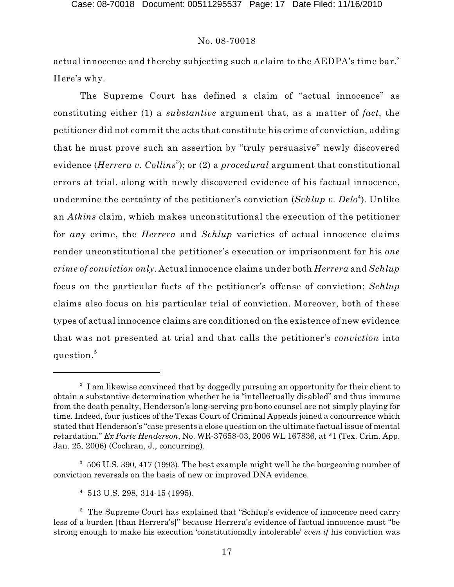actual innocence and thereby subjecting such a claim to the AEDPA's time bar. $^{\text{2}}$ Here's why.

The Supreme Court has defined a claim of "actual innocence" as constituting either (1) a *substantive* argument that, as a matter of *fact*, the petitioner did not commit the acts that constitute his crime of conviction, adding that he must prove such an assertion by "truly persuasive" newly discovered evidence (*Herrera v. Collins<sup>3</sup>*); or (2) a *procedural* argument that constitutional errors at trial, along with newly discovered evidence of his factual innocence, undermine the certainty of the petitioner's conviction (Schlup v. Delo<sup>4</sup>). Unlike an *Atkins* claim, which makes unconstitutional the execution of the petitioner for *any* crime, the *Herrera* and *Schlup* varieties of actual innocence claims render unconstitutional the petitioner's execution or imprisonment for his *one crime of conviction only*. Actual innocence claims under both *Herrera* and *Schlup* focus on the particular facts of the petitioner's offense of conviction; *Schlup* claims also focus on his particular trial of conviction. Moreover, both of these types of actual innocence claims are conditioned on the existence of new evidence that was not presented at trial and that calls the petitioner's *conviction* into  ${\rm question.}^5$ 

 $^2$  I am likewise convinced that by doggedly pursuing an opportunity for their client to obtain a substantive determination whether he is "intellectually disabled" and thus immune from the death penalty, Henderson's long-serving pro bono counsel are not simply playing for time. Indeed, four justices of the Texas Court of Criminal Appeals joined a concurrence which stated that Henderson's "case presents a close question on the ultimate factual issue of mental retardation." *Ex Parte Henderson*, No. WR-37658-03, 2006 WL 167836, at \*1 (Tex. Crim. App. Jan. 25, 2006) (Cochran, J., concurring).

<sup>&</sup>lt;sup>3</sup> 506 U.S. 390, 417 (1993). The best example might well be the burgeoning number of conviction reversals on the basis of new or improved DNA evidence.

 $4\,$  513 U.S. 298, 314-15 (1995).

<sup>&</sup>lt;sup>5</sup> The Supreme Court has explained that "Schlup's evidence of innocence need carry less of a burden [than Herrera's]" because Herrera's evidence of factual innocence must "be strong enough to make his execution 'constitutionally intolerable' *even if* his conviction was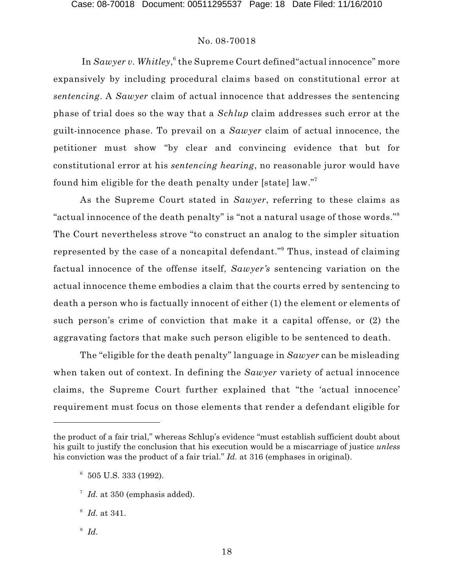In *Sawyer v. Whitley*,  $^6$  the Supreme Court defined"actual innocence" more expansively by including procedural claims based on constitutional error at *sentencing*. A *Sawyer* claim of actual innocence that addresses the sentencing phase of trial does so the way that a *Schlup* claim addresses such error at the guilt-innocence phase. To prevail on a *Sawyer* claim of actual innocence, the petitioner must show "by clear and convincing evidence that but for constitutional error at his *sentencing hearing*, no reasonable juror would have found him eligible for the death penalty under [state] law."<sup>7</sup>

As the Supreme Court stated in *Sawyer*, referring to these claims as "actual innocence of the death penalty" is "not a natural usage of those words."  $\,$ The Court nevertheless strove "to construct an analog to the simpler situation represented by the case of a noncapital defendant."<sup>9</sup> Thus, instead of claiming factual innocence of the offense itself, *Sawyer's* sentencing variation on the actual innocence theme embodies a claim that the courts erred by sentencing to death a person who is factually innocent of either (1) the element or elements of such person's crime of conviction that make it a capital offense, or (2) the aggravating factors that make such person eligible to be sentenced to death.

The "eligible for the death penalty" language in *Sawyer* can be misleading when taken out of context. In defining the *Sawyer* variety of actual innocence claims, the Supreme Court further explained that "the 'actual innocence' requirement must focus on those elements that render a defendant eligible for

<sup>9</sup> Id.

the product of a fair trial," whereas Schlup's evidence "must establish sufficient doubt about his guilt to justify the conclusion that his execution would be a miscarriage of justice *unless* his conviction was the product of a fair trial." *Id.* at 316 (emphases in original).

 $6\,505$  U.S. 333 (1992).

<sup>&</sup>lt;sup>7</sup> Id. at 350 (emphasis added).

*Id.* at 341. 8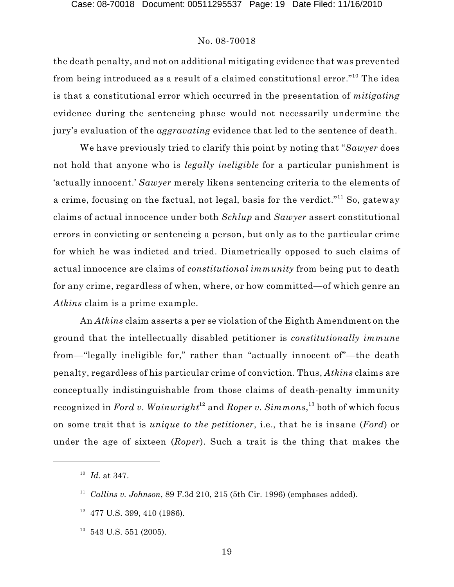the death penalty, and not on additional mitigating evidence that was prevented from being introduced as a result of a claimed constitutional error."<sup>10</sup> The idea is that a constitutional error which occurred in the presentation of *mitigating* evidence during the sentencing phase would not necessarily undermine the jury's evaluation of the *aggravating* evidence that led to the sentence of death.

We have previously tried to clarify this point by noting that "*Sawyer* does not hold that anyone who is *legally ineligible* for a particular punishment is 'actually innocent.' *Sawyer* merely likens sentencing criteria to the elements of a crime, focusing on the factual, not legal, basis for the verdict."<sup>11</sup> So, gateway claims of actual innocence under both *Schlup* and *Sawyer* assert constitutional errors in convicting or sentencing a person, but only as to the particular crime for which he was indicted and tried. Diametrically opposed to such claims of actual innocence are claims of *constitutional immunity* from being put to death for any crime, regardless of when, where, or how committed—of which genre an *Atkins* claim is a prime example.

An *Atkins* claim asserts a per se violation of the Eighth Amendment on the ground that the intellectually disabled petitioner is *constitutionally immune* from—"legally ineligible for," rather than "actually innocent of"—the death penalty, regardless of his particular crime of conviction. Thus, *Atkins* claims are conceptually indistinguishable from those claims of death-penalty immunity recognized in *Ford v. Wainwright*  $^{12}$  and *Roper v. Simmons,*  $^{13}$  both of which focus on some trait that is *unique to the petitioner*, i.e., that he is insane (*Ford*) or under the age of sixteen (*Roper*). Such a trait is the thing that makes the

- $12$  477 U.S. 399, 410 (1986).
- $13\,543$  U.S. 551 (2005).

 $^{10}$  Id. at 347.

<sup>&</sup>lt;sup>11</sup> Callins v. Johnson, 89 F.3d 210, 215 (5th Cir. 1996) (emphases added).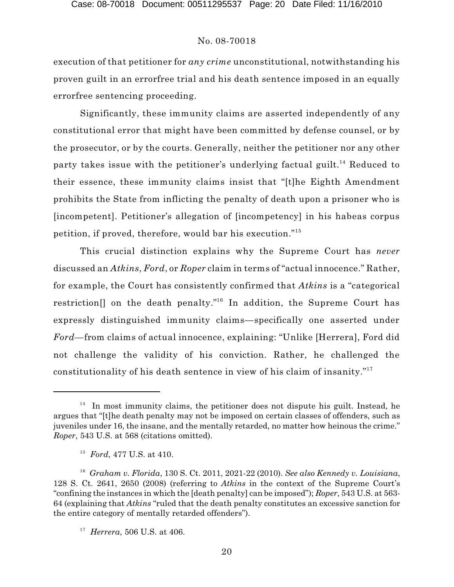execution of that petitioner for *any crime* unconstitutional, notwithstanding his proven guilt in an errorfree trial and his death sentence imposed in an equally errorfree sentencing proceeding.

Significantly, these immunity claims are asserted independently of any constitutional error that might have been committed by defense counsel, or by the prosecutor, or by the courts. Generally, neither the petitioner nor any other party takes issue with the petitioner's underlying factual guilt.<sup>14</sup> Reduced to their essence, these immunity claims insist that "[t]he Eighth Amendment prohibits the State from inflicting the penalty of death upon a prisoner who is [incompetent]. Petitioner's allegation of [incompetency] in his habeas corpus petition, if proved, therefore, would bar his execution." 15

This crucial distinction explains why the Supreme Court has *never* discussed an *Atkins*, *Ford*, or *Roper* claim in terms of "actual innocence." Rather, for example, the Court has consistently confirmed that *Atkins* is a "categorical restriction[] on the death penalty."<sup>16</sup> In addition, the Supreme Court has expressly distinguished immunity claims—specifically one asserted under *Ford*—from claims of actual innocence, explaining: "Unlike [Herrera], Ford did not challenge the validity of his conviction. Rather, he challenged the constitutionality of his death sentence in view of his claim of insanity." 17

 $14$  In most immunity claims, the petitioner does not dispute his guilt. Instead, he argues that "[t]he death penalty may not be imposed on certain classes of offenders, such as juveniles under 16, the insane, and the mentally retarded, no matter how heinous the crime." *Roper*, 543 U.S. at 568 (citations omitted).

<sup>&</sup>lt;sup>15</sup> *Ford*, 477 U.S. at 410.

*Graham v. Florida*, 130 S. Ct. 2011, 2021-22 (2010). *See also Kennedy v. Louisiana*, 16 128 S. Ct. 2641, 2650 (2008) (referring to *Atkins* in the context of the Supreme Court's "confining the instances in which the [death penalty] can be imposed"); *Roper*, 543 U.S. at 563- 64 (explaining that *Atkins* "ruled that the death penalty constitutes an excessive sanction for the entire category of mentally retarded offenders").

<sup>&</sup>lt;sup>17</sup> Herrera, 506 U.S. at 406.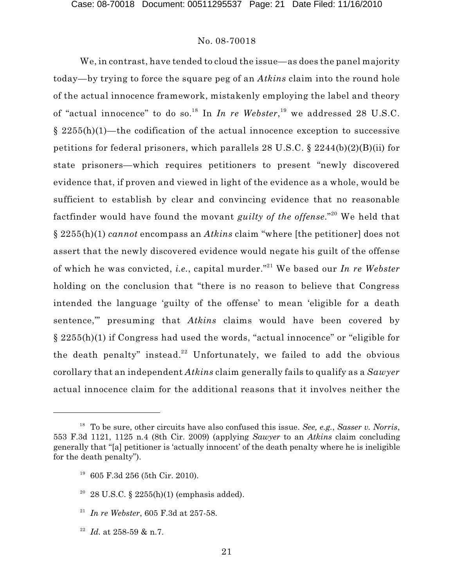We, in contrast, have tended to cloud the issue—as does the panel majority today—by trying to force the square peg of an *Atkins* claim into the round hole of the actual innocence framework, mistakenly employing the label and theory of "actual innocence" to do so.<sup>18</sup> In *In re Webster*,<sup>19</sup> we addressed 28 U.S.C.  $§$  2255(h)(1)—the codification of the actual innocence exception to successive petitions for federal prisoners, which parallels 28 U.S.C. § 2244(b)(2)(B)(ii) for state prisoners—which requires petitioners to present "newly discovered evidence that, if proven and viewed in light of the evidence as a whole, would be sufficient to establish by clear and convincing evidence that no reasonable factfinder would have found the movant *guilty of the offense*." We held that 20 § 2255(h)(1) *cannot* encompass an *Atkins* claim "where [the petitioner] does not assert that the newly discovered evidence would negate his guilt of the offense of which he was convicted, *i.e.*, capital murder."<sup>21</sup> We based our *In re Webster* holding on the conclusion that "there is no reason to believe that Congress intended the language 'guilty of the offense' to mean 'eligible for a death sentence,'" presuming that *Atkins* claims would have been covered by § 2255(h)(1) if Congress had used the words, "actual innocence" or "eligible for the death penalty" instead.<sup>22</sup> Unfortunately, we failed to add the obvious corollary that an independent *Atkins* claim generally fails to qualify as a *Sawyer* actual innocence claim for the additional reasons that it involves neither the

<sup>22</sup> *Id.* at 258-59 & n.7.

To be sure, other circuits have also confused this issue. *See, e.g.*, *Sasser v. Norris*, 18 553 F.3d 1121, 1125 n.4 (8th Cir. 2009) (applying *Sawyer* to an *Atkins* claim concluding generally that "[a] petitioner is 'actually innocent' of the death penalty where he is ineligible for the death penalty").

 $19\,605$  F.3d 256 (5th Cir. 2010).

 $28$  U.S.C. §  $2255(h)(1)$  (emphasis added).

<sup>&</sup>lt;sup>21</sup> In re Webster, 605 F.3d at 257-58.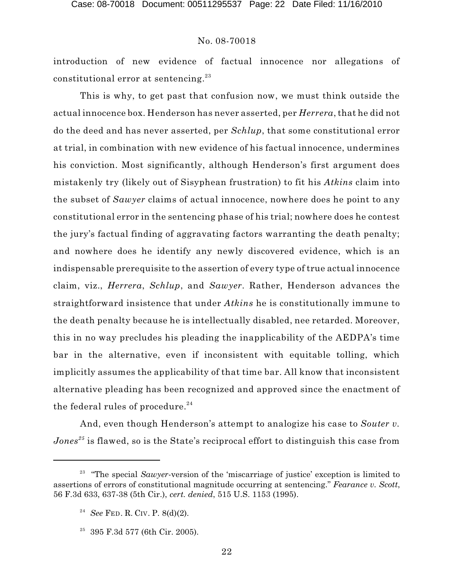introduction of new evidence of factual innocence nor allegations of  $\text{constitutional error at sentencing.}^{23}$ 

This is why, to get past that confusion now, we must think outside the actual innocence box. Henderson has never asserted, per *Herrera*, that he did not do the deed and has never asserted, per *Schlup*, that some constitutional error at trial, in combination with new evidence of his factual innocence, undermines his conviction. Most significantly, although Henderson's first argument does mistakenly try (likely out of Sisyphean frustration) to fit his *Atkins* claim into the subset of *Sawyer* claims of actual innocence, nowhere does he point to any constitutional error in the sentencing phase of his trial; nowhere does he contest the jury's factual finding of aggravating factors warranting the death penalty; and nowhere does he identify any newly discovered evidence, which is an indispensable prerequisite to the assertion of every type of true actual innocence claim, viz., *Herrera*, *Schlup*, and *Sawyer*. Rather, Henderson advances the straightforward insistence that under *Atkins* he is constitutionally immune to the death penalty because he is intellectually disabled, nee retarded. Moreover, this in no way precludes his pleading the inapplicability of the AEDPA's time bar in the alternative, even if inconsistent with equitable tolling, which implicitly assumes the applicability of that time bar. All know that inconsistent alternative pleading has been recognized and approved since the enactment of the federal rules of procedure. $^{24}$ 

And, even though Henderson's attempt to analogize his case to *Souter v.*  $Jones^{25}$  is flawed, so is the State's reciprocal effort to distinguish this case from

<sup>&</sup>lt;sup>23</sup> "The special *Sawyer*-version of the 'miscarriage of justice' exception is limited to assertions of errors of constitutional magnitude occurring at sentencing." *Fearance v. Scott*, 56 F.3d 633, 637-38 (5th Cir.), *cert. denied*, 515 U.S. 1153 (1995).

<sup>&</sup>lt;sup>24</sup> *See* FED. R. CIV. P. 8(d)(2).

<sup>&</sup>lt;sup>25</sup> 395 F.3d 577 (6th Cir. 2005).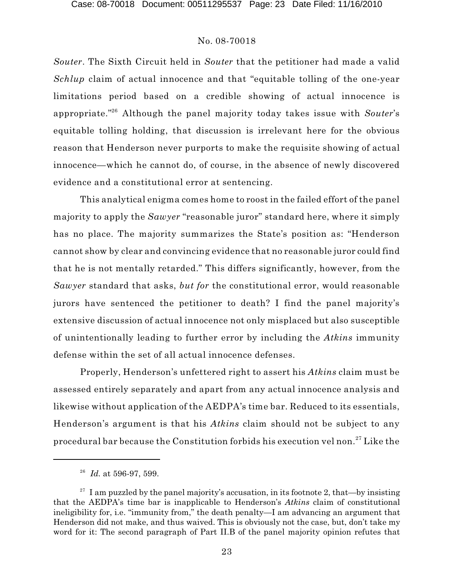*Souter*. The Sixth Circuit held in *Souter* that the petitioner had made a valid *Schlup* claim of actual innocence and that "equitable tolling of the one-year limitations period based on a credible showing of actual innocence is appropriate."<sup>26</sup> Although the panel majority today takes issue with *Souter's* equitable tolling holding, that discussion is irrelevant here for the obvious reason that Henderson never purports to make the requisite showing of actual innocence—which he cannot do, of course, in the absence of newly discovered evidence and a constitutional error at sentencing.

This analytical enigma comes home to roost in the failed effort of the panel majority to apply the *Sawyer* "reasonable juror" standard here, where it simply has no place. The majority summarizes the State's position as: "Henderson cannot show by clear and convincing evidence that no reasonable juror could find that he is not mentally retarded." This differs significantly, however, from the *Sawyer* standard that asks, *but for* the constitutional error, would reasonable jurors have sentenced the petitioner to death? I find the panel majority's extensive discussion of actual innocence not only misplaced but also susceptible of unintentionally leading to further error by including the *Atkins* immunity defense within the set of all actual innocence defenses.

Properly, Henderson's unfettered right to assert his *Atkins* claim must be assessed entirely separately and apart from any actual innocence analysis and likewise without application of the AEDPA's time bar. Reduced to its essentials, Henderson's argument is that his *Atkins* claim should not be subject to any procedural bar because the Constitution forbids his execution vel non. $^{27}\rm{Like}$  the

*Id.* at 596-97, 599. 26

<sup>&</sup>lt;sup>27</sup> I am puzzled by the panel majority's accusation, in its footnote 2, that—by insisting that the AEDPA's time bar is inapplicable to Henderson's *Atkins* claim of constitutional ineligibility for, i.e. "immunity from," the death penalty—I am advancing an argument that Henderson did not make, and thus waived. This is obviously not the case, but, don't take my word for it: The second paragraph of Part II.B of the panel majority opinion refutes that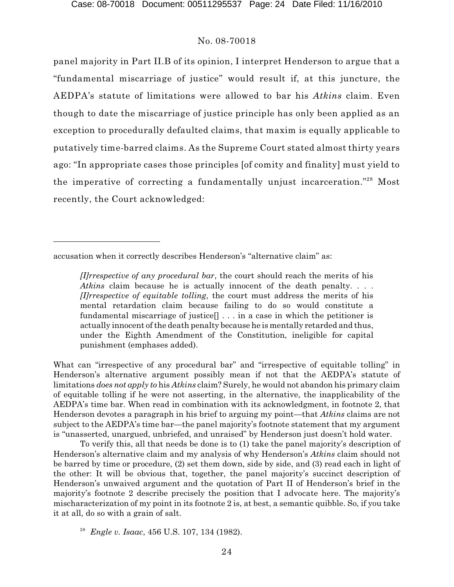panel majority in Part II.B of its opinion, I interpret Henderson to argue that a "fundamental miscarriage of justice" would result if, at this juncture, the AEDPA's statute of limitations were allowed to bar his *Atkins* claim. Even though to date the miscarriage of justice principle has only been applied as an exception to procedurally defaulted claims, that maxim is equally applicable to putatively time-barred claims. As the Supreme Court stated almost thirty years ago: "In appropriate cases those principles [of comity and finality] must yield to the imperative of correcting a fundamentally unjust incarceration."<sup>28</sup> Most recently, the Court acknowledged:

What can "irrespective of any procedural bar" and "irrespective of equitable tolling" in Henderson's alternative argument possibly mean if not that the AEDPA's statute of limitations *does not apply to* his *Atkins* claim? Surely, he would not abandon his primary claim of equitable tolling if he were not asserting, in the alternative, the inapplicability of the AEDPA's time bar. When read in combination with its acknowledgment, in footnote 2, that Henderson devotes a paragraph in his brief to arguing my point—that *Atkins* claims are not subject to the AEDPA's time bar—the panel majority's footnote statement that my argument is "unasserted, unargued, unbriefed, and unraised" by Henderson just doesn't hold water.

To verify this, all that needs be done is to (1) take the panel majority's description of Henderson's alternative claim and my analysis of why Henderson's *Atkins* claim should not be barred by time or procedure, (2) set them down, side by side, and (3) read each in light of the other: It will be obvious that, together, the panel majority's succinct description of Henderson's unwaived argument and the quotation of Part II of Henderson's brief in the majority's footnote 2 describe precisely the position that I advocate here. The majority's mischaracterization of my point in its footnote 2 is, at best, a semantic quibble. So, if you take it at all, do so with a grain of salt.

<sup>28</sup> *Engle v. Isaac*, 456 U.S. 107, 134 (1982).

accusation when it correctly describes Henderson's "alternative claim" as:

*<sup>[</sup>I]rrespective of any procedural bar*, the court should reach the merits of his *Atkins* claim because he is actually innocent of the death penalty. . . . *[I]rrespective of equitable tolling*, the court must address the merits of his mental retardation claim because failing to do so would constitute a fundamental miscarriage of justice $[] \ldots$  in a case in which the petitioner is actually innocent of the death penalty because he is mentally retarded and thus, under the Eighth Amendment of the Constitution, ineligible for capital punishment (emphases added).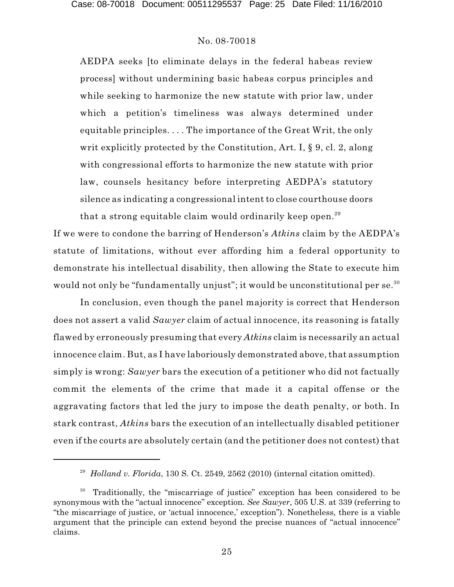AEDPA seeks [to eliminate delays in the federal habeas review process] without undermining basic habeas corpus principles and while seeking to harmonize the new statute with prior law, under which a petition's timeliness was always determined under equitable principles. . . . The importance of the Great Writ, the only writ explicitly protected by the Constitution, Art. I, § 9, cl. 2, along with congressional efforts to harmonize the new statute with prior law, counsels hesitancy before interpreting AEDPA's statutory silence as indicating a congressional intent to close courthouse doors that a strong equitable claim would ordinarily keep open. $^{\rm 29}$ 

If we were to condone the barring of Henderson's *Atkins* claim by the AEDPA's statute of limitations, without ever affording him a federal opportunity to demonstrate his intellectual disability, then allowing the State to execute him would not only be "fundamentally unjust"; it would be unconstitutional per se. $^{\rm 30}$ 

In conclusion, even though the panel majority is correct that Henderson does not assert a valid *Sawyer* claim of actual innocence, its reasoning is fatally flawed by erroneously presuming that every *Atkins* claim is necessarily an actual innocence claim. But, as I have laboriously demonstrated above, that assumption simply is wrong: *Sawyer* bars the execution of a petitioner who did not factually commit the elements of the crime that made it a capital offense or the aggravating factors that led the jury to impose the death penalty, or both. In stark contrast, *Atkins* bars the execution of an intellectually disabled petitioner even if the courts are absolutely certain (and the petitioner does not contest) that

 $^{29}$  Holland v. Florida, 130 S. Ct. 2549, 2562 (2010) (internal citation omitted).

 $30$  Traditionally, the "miscarriage of justice" exception has been considered to be synonymous with the "actual innocence" exception. *See Sawyer*, 505 U.S. at 339 (referring to "the miscarriage of justice, or 'actual innocence,' exception"). Nonetheless, there is a viable argument that the principle can extend beyond the precise nuances of "actual innocence" claims.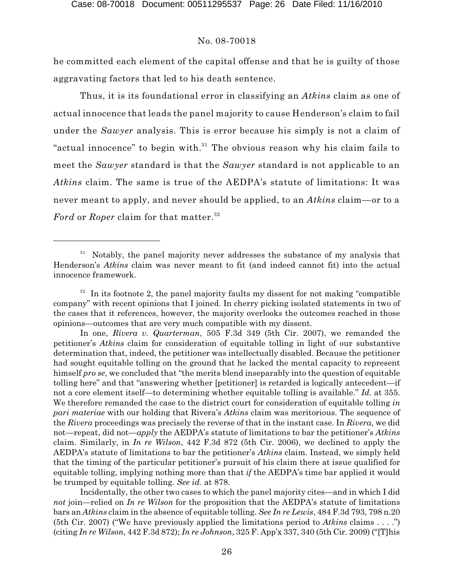he committed each element of the capital offense and that he is guilty of those aggravating factors that led to his death sentence.

Thus, it is its foundational error in classifying an *Atkins* claim as one of actual innocence that leads the panel majority to cause Henderson's claim to fail under the *Sawyer* analysis. This is error because his simply is not a claim of "actual innocence" to begin with. $31$  The obvious reason why his claim fails to meet the *Sawyer* standard is that the *Sawyer* standard is not applicable to an *Atkins* claim. The same is true of the AEDPA's statute of limitations: It was never meant to apply, and never should be applied, to an *Atkins* claim—or to a *Ford* or *Roper* claim for that matter. 32

Notably, the panel majority never addresses the substance of my analysis that <sup>31</sup> Henderson's *Atkins* claim was never meant to fit (and indeed cannot fit) into the actual innocence framework.

 $32$  In its footnote 2, the panel majority faults my dissent for not making "compatible company" with recent opinions that I joined. In cherry picking isolated statements in two of the cases that it references, however, the majority overlooks the outcomes reached in those opinions—outcomes that are very much compatible with my dissent.

In one, *Rivera v. Quarterman*, 505 F.3d 349 (5th Cir. 2007), we remanded the petitioner's *Atkins* claim for consideration of equitable tolling in light of our substantive determination that, indeed, the petitioner was intellectually disabled. Because the petitioner had sought equitable tolling on the ground that he lacked the mental capacity to represent himself *pro se*, we concluded that "the merits blend inseparably into the question of equitable tolling here" and that "answering whether [petitioner] is retarded is logically antecedent—if not a core element itself—to determining whether equitable tolling is available." *Id.* at 355. We therefore remanded the case to the district court for consideration of equitable tolling *in pari materiae* with our holding that Rivera's *Atkins* claim was meritorious. The sequence of the *Rivera* proceedings was precisely the reverse of that in the instant case. In *Rivera*, we did not—repeat, did not—*apply* the AEDPA's statute of limitations to bar the petitioner's *Atkins* claim. Similarly, in *In re Wilson*, 442 F.3d 872 (5th Cir. 2006), we declined to apply the AEDPA's statute of limitations to bar the petitioner's *Atkins* claim. Instead, we simply held that the timing of the particular petitioner's pursuit of his claim there at issue qualified for equitable tolling, implying nothing more than that *if* the AEDPA's time bar applied it would be trumped by equitable tolling. *See id.* at 878.

Incidentally, the other two cases to which the panel majority cites—and in which I did *not* join—relied on *In re Wilson* for the proposition that the AEDPA's statute of limitations bars an *Atkins* claim in the absence of equitable tolling. *See In re Lewis*, 484 F.3d 793, 798 n.20 (5th Cir. 2007) ("We have previously applied the limitations period to *Atkins* claims . . . .") (citing *In re Wilson*, 442 F.3d 872); *In re Johnson*, 325 F. App'x 337, 340 (5th Cir. 2009) ("[T]his